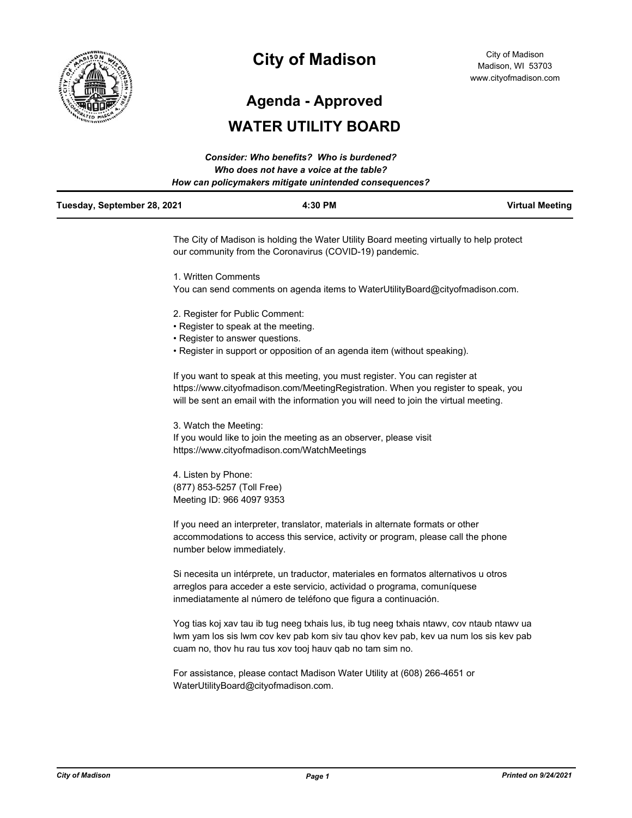

# **City of Madison**

**Agenda - Approved**

# **WATER UTILITY BOARD**

|                             | Consider: Who benefits? Who is burdened?               |                        |
|-----------------------------|--------------------------------------------------------|------------------------|
|                             | Who does not have a voice at the table?                |                        |
|                             | How can policymakers mitigate unintended consequences? |                        |
| Tuesday, September 28, 2021 | 4:30 PM                                                | <b>Virtual Meeting</b> |
|                             |                                                        |                        |

The City of Madison is holding the Water Utility Board meeting virtually to help protect our community from the Coronavirus (COVID-19) pandemic.

1. Written Comments

You can send comments on agenda items to WaterUtilityBoard@cityofmadison.com.

- 2. Register for Public Comment:
- Register to speak at the meeting.
- Register to answer questions.
- Register in support or opposition of an agenda item (without speaking).

If you want to speak at this meeting, you must register. You can register at https://www.cityofmadison.com/MeetingRegistration. When you register to speak, you will be sent an email with the information you will need to join the virtual meeting.

3. Watch the Meeting: If you would like to join the meeting as an observer, please visit https://www.cityofmadison.com/WatchMeetings

4. Listen by Phone: (877) 853-5257 (Toll Free) Meeting ID: 966 4097 9353

If you need an interpreter, translator, materials in alternate formats or other accommodations to access this service, activity or program, please call the phone number below immediately.

Si necesita un intérprete, un traductor, materiales en formatos alternativos u otros arreglos para acceder a este servicio, actividad o programa, comuníquese inmediatamente al número de teléfono que figura a continuación.

Yog tias koj xav tau ib tug neeg txhais lus, ib tug neeg txhais ntawv, cov ntaub ntawv ua lwm yam los sis lwm cov kev pab kom siv tau qhov kev pab, kev ua num los sis kev pab cuam no, thov hu rau tus xov tooj hauv qab no tam sim no.

For assistance, please contact Madison Water Utility at (608) 266-4651 or WaterUtilityBoard@cityofmadison.com.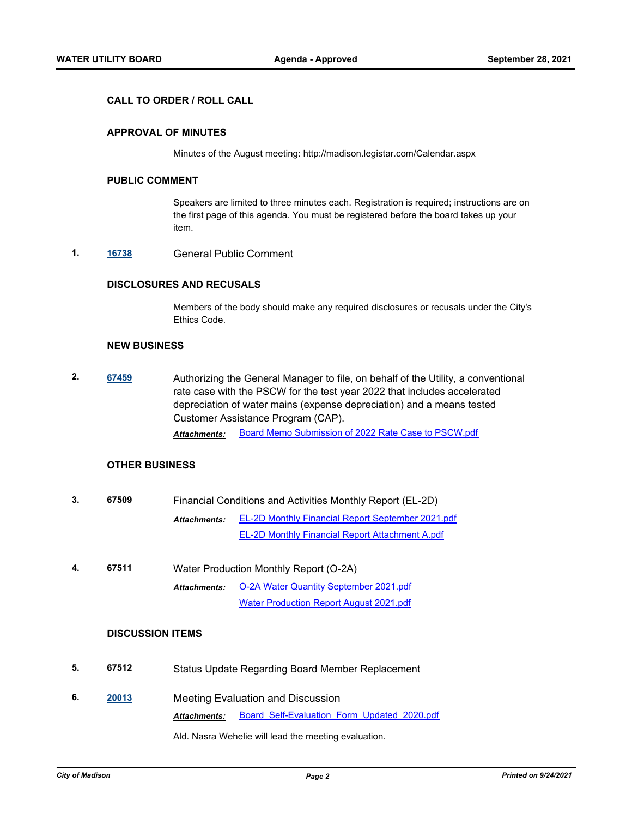#### **CALL TO ORDER / ROLL CALL**

### **APPROVAL OF MINUTES**

Minutes of the August meeting: http://madison.legistar.com/Calendar.aspx

#### **PUBLIC COMMENT**

Speakers are limited to three minutes each. Registration is required; instructions are on the first page of this agenda. You must be registered before the board takes up your item.

**1. [16738](http://madison.legistar.com/gateway.aspx?m=l&id=/matter.aspx?key=18604)** General Public Comment

## **DISCLOSURES AND RECUSALS**

Members of the body should make any required disclosures or recusals under the City's Ethics Code.

#### **NEW BUSINESS**

**2. [67459](http://madison.legistar.com/gateway.aspx?m=l&id=/matter.aspx?key=79361)** Authorizing the General Manager to file, on behalf of the Utility, a conventional rate case with the PSCW for the test year 2022 that includes accelerated depreciation of water mains (expense depreciation) and a means tested Customer Assistance Program (CAP).

*Attachments:* [Board Memo Submission of 2022 Rate Case to PSCW.pdf](http://madison.legistar.com/gateway.aspx?M=F&ID=ac50626f-ca70-48df-9e0d-7a70c6186a41.pdf)

## **OTHER BUSINESS**

| 3. | 67509 | Financial Conditions and Activities Monthly Report (EL-2D) |                                                          |  |
|----|-------|------------------------------------------------------------|----------------------------------------------------------|--|
|    |       | <b>Attachments:</b>                                        | <b>EL-2D Monthly Financial Report September 2021.pdf</b> |  |
|    |       |                                                            | <b>EL-2D Monthly Financial Report Attachment A.pdf</b>   |  |

**4. 67511** Water Production Monthly Report (O-2A) [O-2A Water Quantity September 2021.pdf](http://madison.legistar.com/gateway.aspx?M=F&ID=67bbea9e-1f30-4961-96a9-a44820711afc.pdf) [Water Production Report August 2021.pdf](http://madison.legistar.com/gateway.aspx?M=F&ID=eac91178-9eeb-463b-93bc-8fa008168e34.pdf) *Attachments:*

#### **DISCUSSION ITEMS**

- **5. 67512** Status Update Regarding Board Member Replacement
- **6. [20013](http://madison.legistar.com/gateway.aspx?m=l&id=/matter.aspx?key=22172)** Meeting Evaluation and Discussion *Attachments:* [Board\\_Self-Evaluation\\_Form\\_Updated\\_2020.pdf](http://madison.legistar.com/gateway.aspx?M=F&ID=ba299e73-d22d-49c6-8155-b68e3892631b.pdf)

Ald. Nasra Wehelie will lead the meeting evaluation.